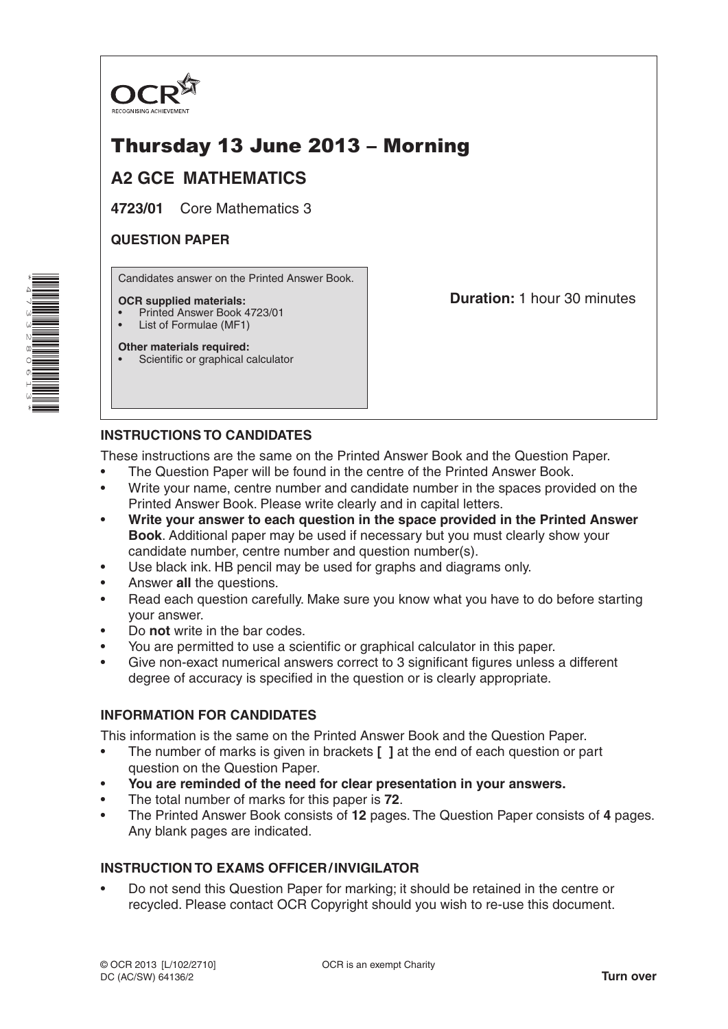

# Thursday 13 June 2013 – Morning

## **A2 GCE MATHEMATICS**

**4723/01** Core Mathematics 3

### **QUESTION PAPER**

Candidates answer on the Printed Answer Book.

#### **OCR supplied materials:**

- Printed Answer Book 4723/01
- List of Formulae (MF1)

**Other materials required:**

Scientific or graphical calculator

**Duration:** 1 hour 30 minutes

## **INSTRUCTIONS TO CANDIDATES**

These instructions are the same on the Printed Answer Book and the Question Paper.

- The Question Paper will be found in the centre of the Printed Answer Book.
- Write your name, centre number and candidate number in the spaces provided on the Printed Answer Book. Please write clearly and in capital letters.
- **Write your answer to each question in the space provided in the Printed Answer Book**. Additional paper may be used if necessary but you must clearly show your candidate number, centre number and question number(s).
- Use black ink. HB pencil may be used for graphs and diagrams only.
- Answer **all** the questions.
- Read each question carefully. Make sure you know what you have to do before starting your answer.
- Do **not** write in the bar codes.
- You are permitted to use a scientific or graphical calculator in this paper.
- Give non-exact numerical answers correct to 3 significant figures unless a different degree of accuracy is specified in the question or is clearly appropriate.

#### **INFORMATION FOR CANDIDATES**

This information is the same on the Printed Answer Book and the Question Paper.

- The number of marks is given in brackets **[ ]** at the end of each question or part question on the Question Paper.
- **You are reminded of the need for clear presentation in your answers.**
- The total number of marks for this paper is **72**.
- The Printed Answer Book consists of **12** pages. The Question Paper consists of **4** pages. Any blank pages are indicated.

#### **INSTRUCTION TO EXAMS OFFICER/INVIGILATOR**

• Do not send this Question Paper for marking; it should be retained in the centre or recycled. Please contact OCR Copyright should you wish to re-use this document.

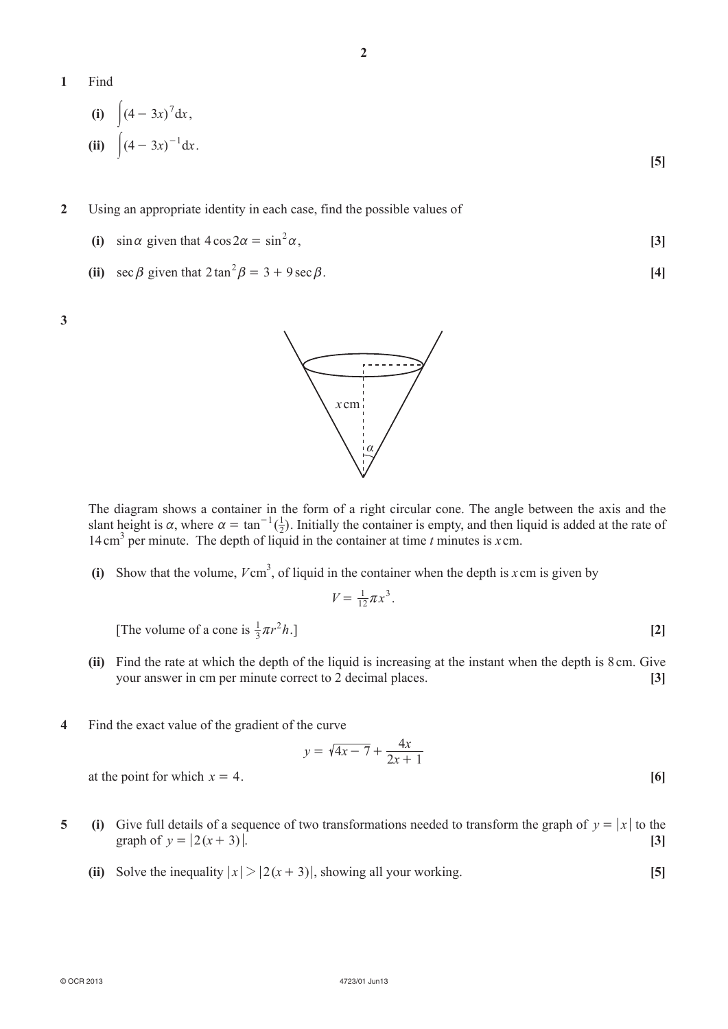**1**  Find

(i) 
$$
\int (4-3x)^7 dx
$$
,  
\n(ii)  $\int (4-3x)^{-1} dx$ . [5]

- **2**  Using an appropriate identity in each case, find the possible values of
	- (i)  $\sin \alpha$  given that  $4 \cos 2\alpha = \sin^2 \alpha$ , [3]
	- (ii)  $\sec \beta$  given that  $2 \tan^2 \beta = 3 + 9 \sec \beta$ . [4]
- **3**



The diagram shows a container in the form of a right circular cone. The angle between the axis and the slant height is  $\alpha$ , where  $\alpha = \tan^{-1}(\frac{1}{2})$ . Initially the container is empty, and then liquid is added at the rate of 14 cm<sup>3</sup> per minute. The depth of liquid in the container at time  $t$  minutes is  $x$  cm.

(i) Show that the volume,  $V \text{cm}^3$ , of liquid in the container when the depth is *x* cm is given by

$$
V = \frac{1}{12}\pi x^3.
$$
 [The volume of a cone is  $\frac{1}{3}\pi r^2 h$ .] [2]

- **(ii)** Find the rate at which the depth of the liquid is increasing at the instant when the depth is 8 cm. Give your answer in cm per minute correct to 2 decimal places. **[3]**
- **4**  Find the exact value of the gradient of the curve

$$
y = \sqrt{4x - 7} + \frac{4x}{2x + 1}
$$
  
at the point for which  $x = 4$ . [6]

- **5 (i)** Give full details of a sequence of two transformations needed to transform the graph of  $y = |x|$  to the graph of  $y = |2(x + 3)|$ . [3]
	- **(ii)** Solve the inequality  $|x| > |2(x + 3)|$ , showing all your working. **[5]**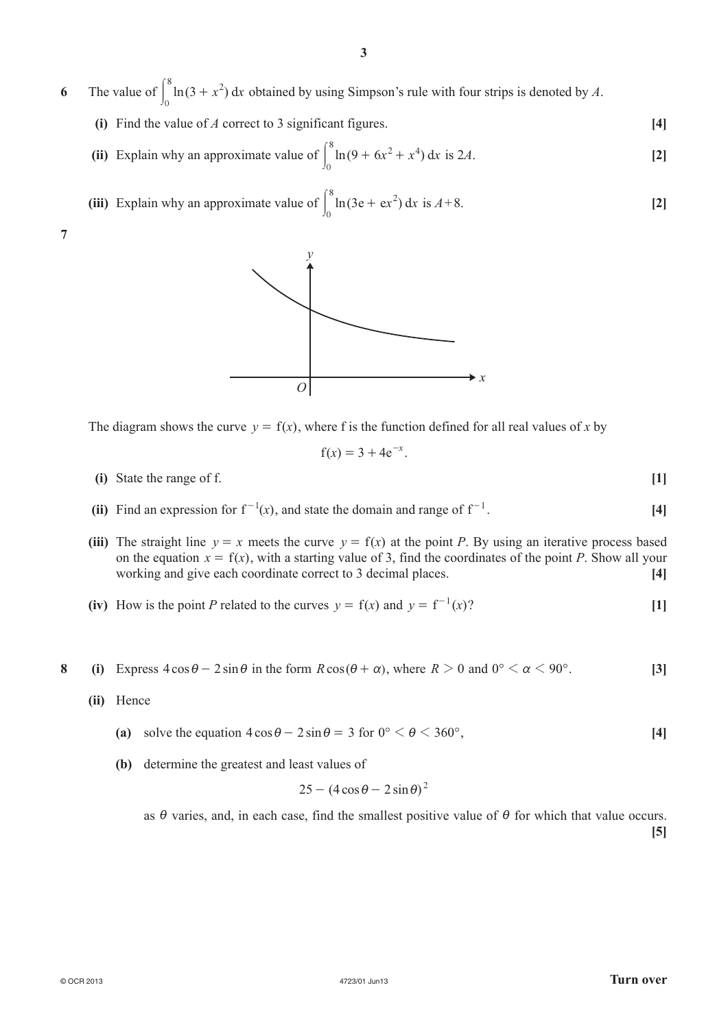- **6** The value of  $\int_0^{\infty} \ln(3 + x^2) dx$ 0  $\int_{0}^{8} \ln(3 + x^2) dx$  obtained by using Simpson's rule with four strips is denoted by *A*.
	- **(i)** Find the value of *A* correct to 3 significant figures.  $[4]$

(ii) Explain why an approximate value of 
$$
\int_0^8 \ln(9 + 6x^2 + x^4) dx
$$
 is 2*A*. [2]

(iii) Explain why an approximate value of 
$$
\int_0^8 \ln(3e + ex^2) dx
$$
 is  $A + 8$ . [2]

**7**



The diagram shows the curve  $y = f(x)$ , where f is the function defined for all real values of x by

$$
f(x) = 3 + 4e^{-x}.
$$

- **(i)** State the range of f. **[1]**
- (ii) Find an expression for  $f^{-1}(x)$ , and state the domain and range of  $f^{-1}$ . . **[4]**
- **(iii)** The straight line  $y = x$  meets the curve  $y = f(x)$  at the point *P*. By using an iterative process based on the equation  $x = f(x)$ , with a starting value of 3, find the coordinates of the point *P*. Show all your working and give each coordinate correct to 3 decimal places. **[4]**
- **(iv)** How is the point *P* related to the curves  $y = f(x)$  and  $y = f^{-1}(x)$ ? [1]
- **8 (i)** Express  $4\cos\theta 2\sin\theta$  in the form  $R\cos(\theta + \alpha)$ , where  $R > 0$  and  $0^{\circ} < \alpha < 90^{\circ}$ . [3]
	- (ii) Hence
		- (a) solve the equation  $4\cos\theta 2\sin\theta = 3$  for  $0^{\circ} < \theta < 360^{\circ}$ , [4]
		- **(b)** determine the greatest and least values of

$$
25 - (4\cos\theta - 2\sin\theta)^2
$$

as  $\theta$  varies, and, in each case, find the smallest positive value of  $\theta$  for which that value occurs. **[5]**